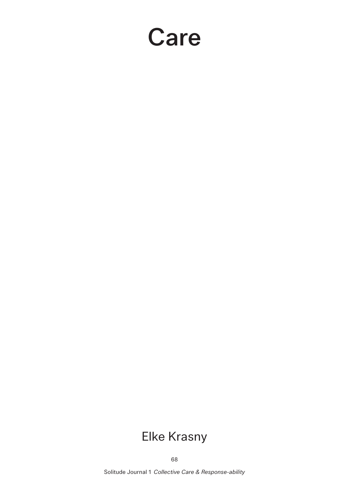## Care

## Elke Krasny

68

Solitude Journal 1 *Collective Care & Response-ability*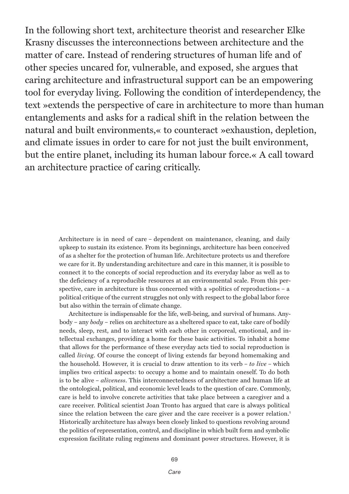In the following short text, architecture theorist and researcher Elke Krasny discusses the interconnections between architecture and the matter of care. Instead of rendering structures of human life and of other species uncared for, vulnerable, and exposed, she argues that caring architecture and infrastructural support can be an empowering tool for everyday living. Following the condition of interdependency, the text »extends the perspective of care in architecture to more than human entanglements and asks for a radical shift in the relation between the natural and built environments,« to counteract »exhaustion, depletion, and climate issues in order to care for not just the built environment, but the entire planet, including its human labour force.« A call toward an architecture practice of caring critically.

> Architecture is in need of care – dependent on maintenance, cleaning, and daily upkeep to sustain its existence. From its beginnings, architecture has been conceived of as a shelter for the protection of human life. Architecture protects us and therefore we care for it. By understanding architecture and care in this manner, it is possible to connect it to the concepts of social reproduction and its everyday labor as well as to the deficiency of a reproducible resources at an environmental scale. From this perspective, care in architecture is thus concerned with a »politics of reproduction« – a political critique of the current struggles not only with respect to the global labor force but also within the terrain of climate change.

> Architecture is indispensable for the life, well-being, and survival of humans. Anybody – any *body* – relies on architecture as a sheltered space to eat, take care of bodily needs, sleep, rest, and to interact with each other in corporeal, emotional, and intellectual exchanges, providing a home for these basic activities. To inhabit a home that allows for the performance of these everyday acts tied to social reproduction is called *living*. Of course the concept of living extends far beyond homemaking and the household. However, it is crucial to draw attention to its verb – *to live* – which implies two critical aspects: to occupy a home and to maintain oneself. To do both is to be alive – *aliveness*. This interconnectedness of architecture and human life at the ontological, political, and economic level leads to the question of care. Commonly, care is held to involve concrete activities that take place between a caregiver and a care receiver. Political scientist Joan Tronto has argued that care is always political since the relation between the care giver and the care receiver is a power relation.1 Historically architecture has always been closely linked to questions revolving around the politics of representation, control, and discipline in which built form and symbolic expression facilitate ruling regimens and dominant power structures. However, it is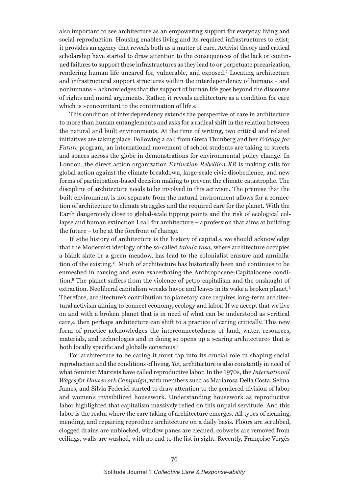also important to see architecture as an empowering support for everyday living and social reproduction. Housing enables living and its required infrastructures to exist; it provides an agency that reveals both as a matter of care. Activist theory and critical scholarship have started to draw attention to the consequences of the lack or continued failures to support these infrastructures as they lead to or perpetuate precarization, rendering human life uncared for, vulnerable, and exposed.<sup>2</sup> Locating architecture and infrastructural support structures within the interdependency of humans – and nonhumans – acknowledges that the support of human life goes beyond the discourse of rights and moral arguments. Rather, it reveals architecture as a condition for care which is »concomitant to the continuation of life.«<sup>3</sup>

This condition of interdependency extends the perspective of care in architecture to more than human entanglements and asks for a radical shift in the relation between the natural and built environments. At the time of writing, two critical and related initiatives are taking place. Following a call from Greta Thunberg and her *Fridays for Future* program, an international movement of school students are taking to streets and spaces across the globe in demonstrations for environmental policy change. In London, the direct action organization *Extinction Rebellion XR* is making calls for global action against the climate breakdown, large-scale civic disobedience, and new forms of participation-based decision making to prevent the climate catastrophe. The discipline of architecture needs to be involved in this activism. The premise that the built environment is not separate from the natural environment allows for a connection of architecture to climate struggles and the required care for the planet. With the Earth dangerously close to global-scale tipping points and the risk of ecological collapse and human extinction I call for architecture – a profession that aims at building the future – to be at the forefront of change.

If »the history of architecture is the history of capital,« we should acknowledge that the Modernist ideology of the so-called *tabula rasa*, where architecture occupies a blank slate or a green meadow, has lead to the colonialist erasure and annihilation of the existing.4 Much of architecture has historically been and continues to be enmeshed in causing and even exacerbating the Anthropocene-Capitalocene condition.5 The planet suffers from the violence of petro-capitalism and the onslaught of extraction. Neoliberal capitalism wreaks havoc and leaves in its wake a broken planet.<sup>6</sup> Therefore, architecture's contribution to planetary care requires long-term architectural activism aiming to connect economy, ecology and labor. If we accept that we live on and with a broken planet that is in need of what can be understood as »critical care,« then perhaps architecture can shift to a practice of caring critically. This new form of practice acknowledges the interconnectedness of land, water, resources, materials, and technologies and in doing so opens up a »caring architecture« that is both locally specific and globally conscious.7

For architecture to be caring it must tap into its crucial role in shaping social reproduction and the conditions of living. Yet, architecture is also constantly in need of what feminist Marxists have called reproductive labor. In the 1970s, the *International Wages for Housework Campaign*, with members such as Mariarosa Della Costa, Selma James, and Silvia Federici started to draw attention to the gendered division of labor and women's invisibilized housework. Understanding housework as reproductive labor highlighted that capitalism massively relied on this unpaid servitude. And this labor is the realm where the care taking of architecture emerges. All types of cleaning, mending, and repairing reproduce architecture on a daily basis. Floors are scrubbed, clogged drains are unblocked, window panes are cleaned, cobwebs are removed from ceilings, walls are washed, with no end to the list in sight. Recently, Françoise Vergès